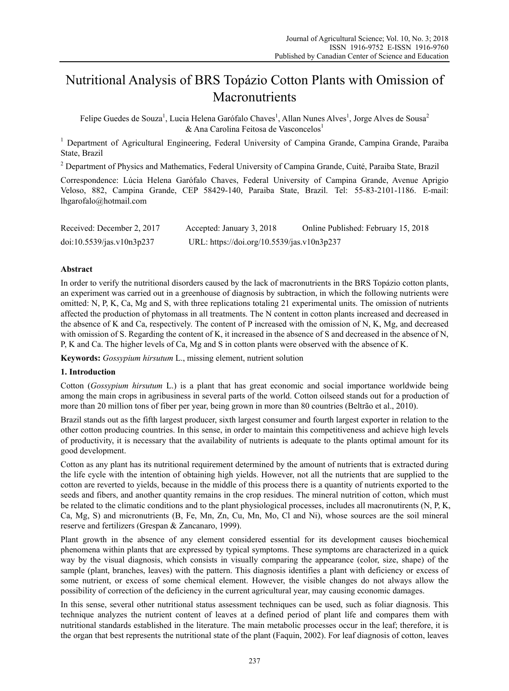# Nutritional Analysis of BRS Topázio Cotton Plants with Omission of **Macronutrients**

Felipe Guedes de Souza<sup>1</sup>, Lucia Helena Garófalo Chaves<sup>1</sup>, Allan Nunes Alves<sup>1</sup>, Jorge Alves de Sousa<sup>2</sup> & Ana Carolina Feitosa de Vasconcelos<sup>1</sup>

<sup>1</sup> Department of Agricultural Engineering, Federal University of Campina Grande, Campina Grande, Paraiba State, Brazil

<sup>2</sup> Department of Physics and Mathematics, Federal University of Campina Grande, Cuité, Paraiba State, Brazil

Correspondence: Lúcia Helena Garófalo Chaves, Federal University of Campina Grande, Avenue Aprigio Veloso, 882, Campina Grande, CEP 58429-140, Paraiba State, Brazil. Tel: 55-83-2101-1186. E-mail: lhgarofalo@hotmail.com

| Received: December 2, 2017 | Accepted: January 3, 2018                  | Online Published: February 15, 2018 |
|----------------------------|--------------------------------------------|-------------------------------------|
| doi:10.5539/jas.v10n3p237  | URL: https://doi.org/10.5539/jas.v10n3p237 |                                     |

## **Abstract**

In order to verify the nutritional disorders caused by the lack of macronutrients in the BRS Topázio cotton plants, an experiment was carried out in a greenhouse of diagnosis by subtraction, in which the following nutrients were omitted: N, P, K, Ca, Mg and S, with three replications totaling 21 experimental units. The omission of nutrients affected the production of phytomass in all treatments. The N content in cotton plants increased and decreased in the absence of K and Ca, respectively. The content of P increased with the omission of N, K, Mg, and decreased with omission of S. Regarding the content of K, it increased in the absence of S and decreased in the absence of N, P, K and Ca. The higher levels of Ca, Mg and S in cotton plants were observed with the absence of K.

**Keywords:** *Gossypium hirsutum* L., missing element, nutrient solution

## **1. Introduction**

Cotton (*Gossypium hirsutum* L.) is a plant that has great economic and social importance worldwide being among the main crops in agribusiness in several parts of the world. Cotton oilseed stands out for a production of more than 20 million tons of fiber per year, being grown in more than 80 countries (Beltrão et al., 2010).

Brazil stands out as the fifth largest producer, sixth largest consumer and fourth largest exporter in relation to the other cotton producing countries. In this sense, in order to maintain this competitiveness and achieve high levels of productivity, it is necessary that the availability of nutrients is adequate to the plants optimal amount for its good development.

Cotton as any plant has its nutritional requirement determined by the amount of nutrients that is extracted during the life cycle with the intention of obtaining high yields. However, not all the nutrients that are supplied to the cotton are reverted to yields, because in the middle of this process there is a quantity of nutrients exported to the seeds and fibers, and another quantity remains in the crop residues. The mineral nutrition of cotton, which must be related to the climatic conditions and to the plant physiological processes, includes all macronutirents (N, P, K, Ca, Mg, S) and micronutrients (B, Fe, Mn, Zn, Cu, Mn, Mo, Cl and Ni), whose sources are the soil mineral reserve and fertilizers (Grespan & Zancanaro, 1999).

Plant growth in the absence of any element considered essential for its development causes biochemical phenomena within plants that are expressed by typical symptoms. These symptoms are characterized in a quick way by the visual diagnosis, which consists in visually comparing the appearance (color, size, shape) of the sample (plant, branches, leaves) with the pattern. This diagnosis identifies a plant with deficiency or excess of some nutrient, or excess of some chemical element. However, the visible changes do not always allow the possibility of correction of the deficiency in the current agricultural year, may causing economic damages.

In this sense, several other nutritional status assessment techniques can be used, such as foliar diagnosis. This technique analyzes the nutrient content of leaves at a defined period of plant life and compares them with nutritional standards established in the literature. The main metabolic processes occur in the leaf; therefore, it is the organ that best represents the nutritional state of the plant (Faquin, 2002). For leaf diagnosis of cotton, leaves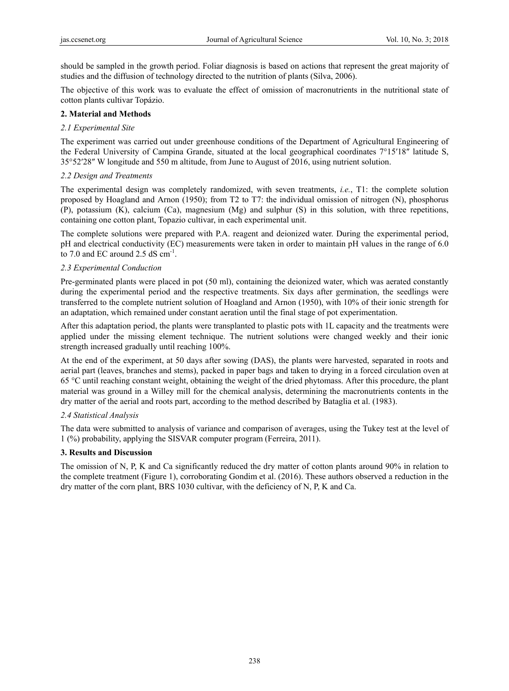should be sampled in the growth period. Foliar diagnosis is based on actions that represent the great majority of studies and the diffusion of technology directed to the nutrition of plants (Silva, 2006).

The objective of this work was to evaluate the effect of omission of macronutrients in the nutritional state of cotton plants cultivar Topázio.

## **2. Material and Methods**

#### *2.1 Experimental Site*

The experiment was carried out under greenhouse conditions of the Department of Agricultural Engineering of the Federal University of Campina Grande, situated at the local geographical coordinates 7°15′18″ latitude S, 35°52′28″ W longitude and 550 m altitude, from June to August of 2016, using nutrient solution.

## *2.2 Design and Treatments*

The experimental design was completely randomized, with seven treatments, *i.e.*, T1: the complete solution proposed by Hoagland and Arnon (1950); from T2 to T7: the individual omission of nitrogen (N), phosphorus (P), potassium (K), calcium (Ca), magnesium (Mg) and sulphur (S) in this solution, with three repetitions, containing one cotton plant, Topazio cultivar, in each experimental unit.

The complete solutions were prepared with P.A. reagent and deionized water. During the experimental period, pH and electrical conductivity (EC) measurements were taken in order to maintain pH values in the range of 6.0 to 7.0 and EC around 2.5 dS  $cm<sup>-1</sup>$ .

## *2.3 Experimental Conduction*

Pre-germinated plants were placed in pot (50 ml), containing the deionized water, which was aerated constantly during the experimental period and the respective treatments. Six days after germination, the seedlings were transferred to the complete nutrient solution of Hoagland and Arnon (1950), with 10% of their ionic strength for an adaptation, which remained under constant aeration until the final stage of pot experimentation.

After this adaptation period, the plants were transplanted to plastic pots with 1L capacity and the treatments were applied under the missing element technique. The nutrient solutions were changed weekly and their ionic strength increased gradually until reaching 100%.

At the end of the experiment, at 50 days after sowing (DAS), the plants were harvested, separated in roots and aerial part (leaves, branches and stems), packed in paper bags and taken to drying in a forced circulation oven at 65 °C until reaching constant weight, obtaining the weight of the dried phytomass. After this procedure, the plant material was ground in a Willey mill for the chemical analysis, determining the macronutrients contents in the dry matter of the aerial and roots part, according to the method described by Bataglia et al. (1983).

## *2.4 Statistical Analysis*

The data were submitted to analysis of variance and comparison of averages, using the Tukey test at the level of 1 (%) probability, applying the SISVAR computer program (Ferreira, 2011).

#### **3. Results and Discussion**

The omission of N, P, K and Ca significantly reduced the dry matter of cotton plants around 90% in relation to the complete treatment (Figure 1), corroborating Gondim et al. (2016). These authors observed a reduction in the dry matter of the corn plant, BRS 1030 cultivar, with the deficiency of N, P, K and Ca.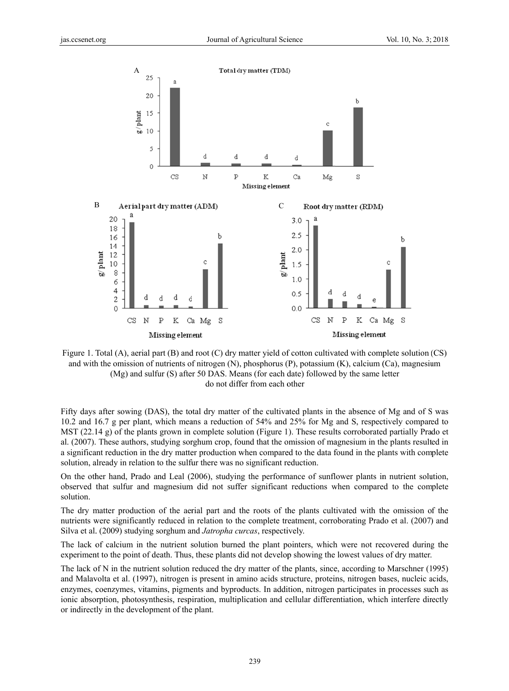

Figure 1. Total (A), aerial part (B) and root (C) dry matter yield of cotton cultivated with complete solution (CS) and with the omission of nutrients of nitrogen (N), phosphorus (P), potassium (K), calcium (Ca), magnesium (Mg) and sulfur (S) after 50 DAS. Means (for each date) followed by the same letter do not differ from each other

Fifty days after sowing (DAS), the total dry matter of the cultivated plants in the absence of Mg and of S was 10.2 and 16.7 g per plant, which means a reduction of  $54\%$  and  $25\%$  for Mg and S, respectively compared to  $MST(22.14 g)$  of the plants grown in complete solution (Figure 1). These results corroborated partially Prado et al. (2007). These authors, studying sorghum crop, found that the omission of magnesium in the plants resulted in a significant reduction in the dry matter production when compared to the data found in the plants with complete solution, already in relation to the sulfur there was no significant reduction.

On the other hand, Prado and Leal (2006), studying the performance of sunflower plants in nutrient solution, observed that sulfur and magnesium did not suffer significant reductions when compared to the complete solution.

The dry matter production of the aerial part and the roots of the plants cultivated with the omission of the nutrients were significantly reduced in relation to the complete treatment, corroborating Prado et al. (2007) and Silva et al. (2009) studying sorghum and *Jatropha curcas*, respectively.

The lack of calcium in the nutrient solution burned the plant pointers, which were not recovered during the experiment to the point of death. Thus, these plants did not develop showing the lowest values of dry matter.

The lack of N in the nutrient solution reduced the dry matter of the plants, since, according to Marschner (1995) and Malavolta et al. (1997), nitrogen is present in amino acids structure, proteins, nitrogen bases, nucleic acids, enzymes, coenzymes, vitamins, pigments and byproducts. In addition, nitrogen participates in processes such as ionic absorption, photosynthesis, respiration, multiplication and cellular differentiation, which interfere directly or indirectly in the development of the plant.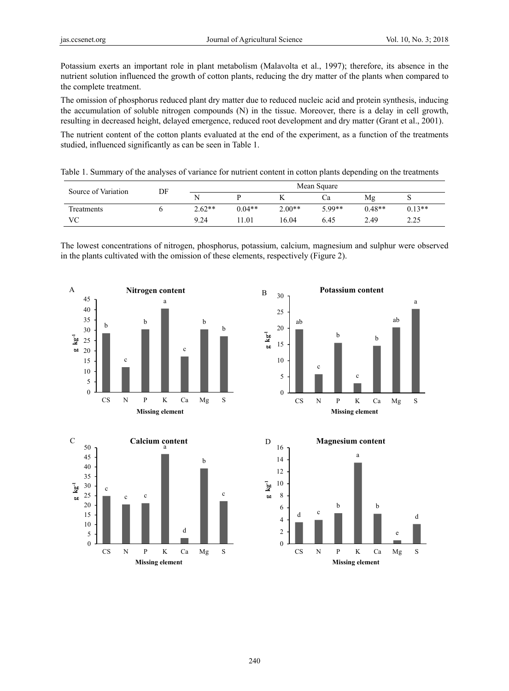Potassium exerts an important role in plant metabolism (Malavolta et al., 1997); therefore, its absence in the nutrient solution influenced the growth of cotton plants, reducing the dry matter of the plants when compared to the complete treatment.

The omission of phosphorus reduced plant dry matter due to reduced nucleic acid and protein synthesis, inducing the accumulation of soluble nitrogen compounds (N) in the tissue. Moreover, there is a delay in cell growth, resulting in decreased height, delayed emergence, reduced root development and dry matter (Grant et al., 2001).

The nutrient content of the cotton plants evaluated at the end of the experiment, as a function of the treatments studied, influenced significantly as can be seen in Table 1.

Table 1. Summary of the analyses of variance for nutrient content in cotton plants depending on the treatments

| Source of Variation | DF | Mean Square |          |          |          |          |          |
|---------------------|----|-------------|----------|----------|----------|----------|----------|
|                     |    | N           |          |          | Uа       | Mg       | ື        |
| Treatments          |    | $2.62**$    | $0.04**$ | $2.00**$ | $5.99**$ | $0.48**$ | $0.13**$ |
| VС                  |    | 9.24        | 11.01    | 16.04    | 6.45     | 2.49     | 2.25     |

The lowest concentrations of nitrogen, phosphorus, potassium, calcium, magnesium and sulphur were observed in the plants cultivated with the omission of these elements, respectively (Figure 2).







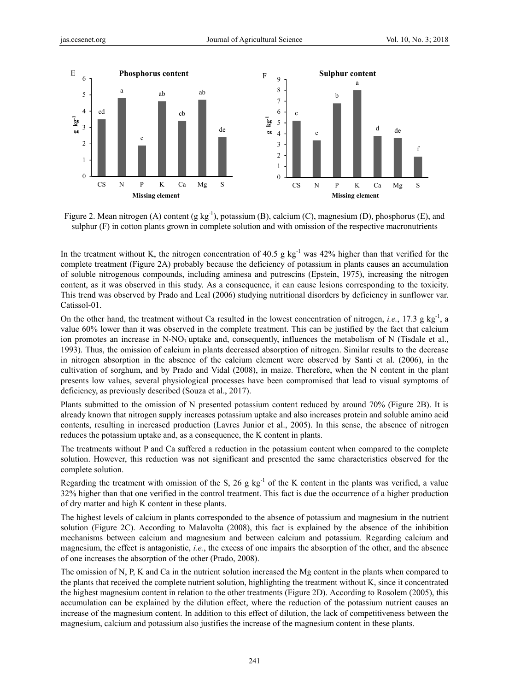

Figure 2. Mean nitrogen (A) content (g kg<sup>-1</sup>), potassium (B), calcium (C), magnesium (D), phosphorus (E), and sulphur (F) in cotton plants grown in complete solution and with omission of the respective macronutrients

In the treatment without K, the nitrogen concentration of 40.5 g  $kg^{-1}$  was 42% higher than that verified for the complete treatment (Figure 2A) probably because the deficiency of potassium in plants causes an accumulation of soluble nitrogenous compounds, including aminesa and putrescins (Epstein, 1975), increasing the nitrogen content, as it was observed in this study. As a consequence, it can cause lesions corresponding to the toxicity. This trend was observed by Prado and Leal (2006) studying nutritional disorders by deficiency in sunflower var. Catissol-01.

On the other hand, the treatment without Ca resulted in the lowest concentration of nitrogen, *i.e.*, 17.3 g kg<sup>-1</sup>, a value 60% lower than it was observed in the complete treatment. This can be justified by the fact that calcium ion promotes an increase in N-NO<sub>3</sub> uptake and, consequently, influences the metabolism of N (Tisdale et al., 1993). Thus, the omission of calcium in plants decreased absorption of nitrogen. Similar results to the decrease in nitrogen absorption in the absence of the calcium element were observed by Santi et al. (2006), in the cultivation of sorghum, and by Prado and Vidal (2008), in maize. Therefore, when the N content in the plant presents low values, several physiological processes have been compromised that lead to visual symptoms of deficiency, as previously described (Souza et al., 2017).

Plants submitted to the omission of N presented potassium content reduced by around 70% (Figure 2B). It is already known that nitrogen supply increases potassium uptake and also increases protein and soluble amino acid contents, resulting in increased production (Lavres Junior et al., 2005). In this sense, the absence of nitrogen reduces the potassium uptake and, as a consequence, the K content in plants.

The treatments without P and Ca suffered a reduction in the potassium content when compared to the complete solution. However, this reduction was not significant and presented the same characteristics observed for the complete solution.

Regarding the treatment with omission of the S, 26 g kg<sup>-1</sup> of the K content in the plants was verified, a value 32% higher than that one verified in the control treatment. This fact is due the occurrence of a higher production of dry matter and high K content in these plants.

The highest levels of calcium in plants corresponded to the absence of potassium and magnesium in the nutrient solution (Figure 2C). According to Malavolta (2008), this fact is explained by the absence of the inhibition mechanisms between calcium and magnesium and between calcium and potassium. Regarding calcium and magnesium, the effect is antagonistic, *i.e.*, the excess of one impairs the absorption of the other, and the absence of one increases the absorption of the other (Prado, 2008).

The omission of N, P, K and Ca in the nutrient solution increased the Mg content in the plants when compared to the plants that received the complete nutrient solution, highlighting the treatment without K, since it concentrated the highest magnesium content in relation to the other treatments (Figure 2D). According to Rosolem (2005), this accumulation can be explained by the dilution effect, where the reduction of the potassium nutrient causes an increase of the magnesium content. In addition to this effect of dilution, the lack of competitiveness between the magnesium, calcium and potassium also justifies the increase of the magnesium content in these plants.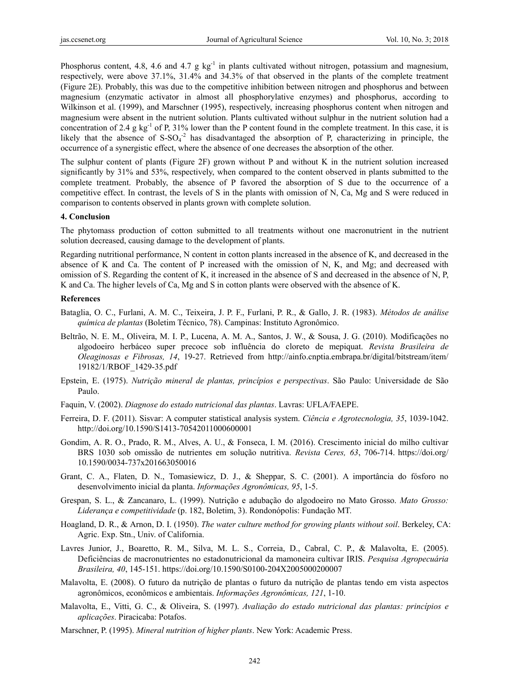Phosphorus content, 4.8, 4.6 and 4.7 g  $kg^{-1}$  in plants cultivated without nitrogen, potassium and magnesium, respectively, were above 37.1%, 31.4% and 34.3% of that observed in the plants of the complete treatment (Figure 2E). Probably, this was due to the competitive inhibition between nitrogen and phosphorus and between magnesium (enzymatic activator in almost all phosphorylative enzymes) and phosphorus, according to Wilkinson et al. (1999), and Marschner (1995), respectively, increasing phosphorus content when nitrogen and magnesium were absent in the nutrient solution. Plants cultivated without sulphur in the nutrient solution had a concentration of 2.4 g kg<sup>-1</sup> of P, 31% lower than the P content found in the complete treatment. In this case, it is likely that the absence of  $S-SO<sub>4</sub><sup>-2</sup>$  has disadvantaged the absorption of P, characterizing in principle, the occurrence of a synergistic effect, where the absence of one decreases the absorption of the other.

The sulphur content of plants (Figure 2F) grown without P and without K in the nutrient solution increased significantly by 31% and 53%, respectively, when compared to the content observed in plants submitted to the complete treatment. Probably, the absence of P favored the absorption of S due to the occurrence of a competitive effect. In contrast, the levels of S in the plants with omission of N, Ca, Mg and S were reduced in comparison to contents observed in plants grown with complete solution.

#### **4. Conclusion**

The phytomass production of cotton submitted to all treatments without one macronutrient in the nutrient solution decreased, causing damage to the development of plants.

Regarding nutritional performance, N content in cotton plants increased in the absence of K, and decreased in the absence of K and Ca. The content of P increased with the omission of N, K, and Mg; and decreased with omission of S. Regarding the content of K, it increased in the absence of S and decreased in the absence of N, P, K and Ca. The higher levels of Ca, Mg and S in cotton plants were observed with the absence of K.

#### **References**

- Bataglia, O. C., Furlani, A. M. C., Teixeira, J. P. F., Furlani, P. R., & Gallo, J. R. (1983). *Métodos de análise química de plantas* (Boletim Técnico, 78). Campinas: Instituto Agronômico.
- Beltrão, N. E. M., Oliveira, M. I. P., Lucena, A. M. A., Santos, J. W., & Sousa, J. G. (2010). Modificações no algodoeiro herbáceo super precoce sob influência do cloreto de mepiquat. *Revista Brasileira de Oleaginosas e Fibrosas, 14*, 19-27. Retrieved from http://ainfo.cnptia.embrapa.br/digital/bitstream/item/ 19182/1/RBOF\_1429-35.pdf
- Epstein, E. (1975). *Nutrição mineral de plantas, princípios e perspectivas*. São Paulo: Universidade de São Paulo.
- Faquin, V. (2002). *Diagnose do estado nutricional das plantas*. Lavras: UFLA/FAEPE.
- Ferreira, D. F. (2011). Sisvar: A computer statistical analysis system. *Ciência e Agrotecnologia, 35*, 1039-1042. http://doi.org/10.1590/S1413-70542011000600001
- Gondim, A. R. O., Prado, R. M., Alves, A. U., & Fonseca, I. M. (2016). Crescimento inicial do milho cultivar BRS 1030 sob omissão de nutrientes em solução nutritiva. *Revista Ceres, 63*, 706-714. https://doi.org/ 10.1590/0034-737x201663050016
- Grant, C. A., Flaten, D. N., Tomasiewicz, D. J., & Sheppar, S. C. (2001). A importância do fósforo no desenvolvimento inicial da planta. *Informações Agronômicas, 95*, 1-5.
- Grespan, S. L., & Zancanaro, L. (1999). Nutrição e adubação do algodoeiro no Mato Grosso. *Mato Grosso: Liderança e competitividade* (p. 182, Boletim, 3). Rondonópolis: Fundação MT.
- Hoagland, D. R., & Arnon, D. I. (1950). *The water culture method for growing plants without soil*. Berkeley, CA: Agric. Exp. Stn., Univ. of California.
- Lavres Junior, J., Boaretto, R. M., Silva, M. L. S., Correia, D., Cabral, C. P., & Malavolta, E. (2005). Deficiências de macronutrientes no estadonutricional da mamoneira cultivar IRIS. *Pesquisa Agropecuária Brasileira, 40*, 145-151. https://doi.org/10.1590/S0100-204X2005000200007
- Malavolta, E. (2008). O futuro da nutrição de plantas o futuro da nutrição de plantas tendo em vista aspectos agronômicos, econômicos e ambientais. *Informações Agronômicas, 121*, 1-10.
- Malavolta, E., Vitti, G. C., & Oliveira, S. (1997). *Avaliação do estado nutricional das plantas: princípios e aplicações*. Piracicaba: Potafos.
- Marschner, P. (1995). *Mineral nutrition of higher plants*. New York: Academic Press.